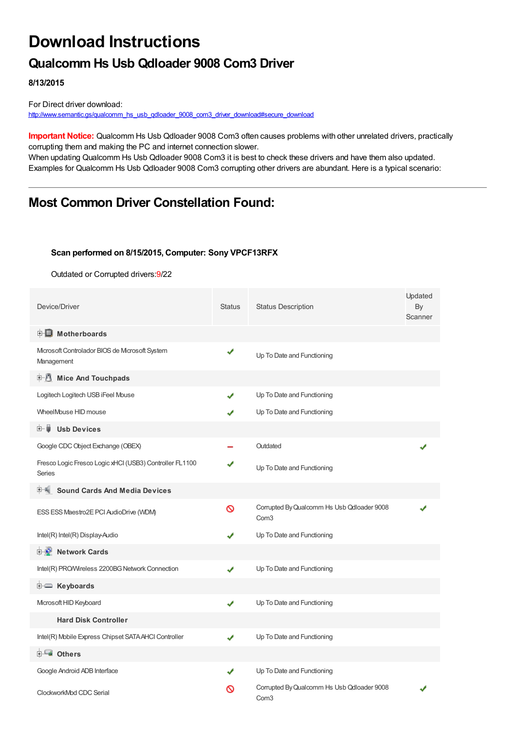# **Download Instructions**

## **Qualcomm Hs Usb Qdloader 9008 Com3 Driver**

**8/13/2015**

For Direct driver download: [http://www.semantic.gs/qualcomm\\_hs\\_usb\\_qdloader\\_9008\\_com3\\_driver\\_download#secure\\_download](http://www.semantic.gs/qualcomm_hs_usb_qdloader_9008_com3_driver_download#secure_download)

**Important Notice:** Qualcomm Hs Usb Qdloader 9008 Com3 often causes problems with other unrelated drivers, practically corrupting them and making the PC and internet connection slower.

When updating Qualcomm Hs Usb Qdloader 9008 Com3 it is best to check these drivers and have them also updated. Examples for Qualcomm Hs Usb Qdloader 9008 Com3 corrupting other drivers are abundant. Here is a typical scenario:

## **Most Common Driver Constellation Found:**

#### **Scan performed on 8/15/2015, Computer: Sony VPCF13RFX**

Outdated or Corrupted drivers:9/22

| Device/Driver                                                            | <b>Status</b> | <b>Status Description</b>                                      | Updated<br>By<br>Scanner |
|--------------------------------------------------------------------------|---------------|----------------------------------------------------------------|--------------------------|
| <b>E</b> Motherboards                                                    |               |                                                                |                          |
| Microsoft Controlador BIOS de Microsoft System<br>Management             | ✔             | Up To Date and Functioning                                     |                          |
| <b>E</b> Mice And Touchpads                                              |               |                                                                |                          |
| Logitech Logitech USB iFeel Mouse                                        | ✔             | Up To Date and Functioning                                     |                          |
| WheelMouse HID mouse                                                     |               | Up To Date and Functioning                                     |                          |
| <b>Usb Devices</b><br>田一員                                                |               |                                                                |                          |
| Google CDC Object Exchange (OBEX)                                        |               | Outdated                                                       |                          |
| Fresco Logic Fresco Logic xHCI (USB3) Controller FL1100<br><b>Series</b> | ✔             | Up To Date and Functioning                                     |                          |
| <b>Sound Cards And Media Devices</b>                                     |               |                                                                |                          |
| ESS ESS Maestro2E PCI AudioDrive (WDM)                                   | $\infty$      | Corrupted By Qualcomm Hs Usb Qdloader 9008<br>Com <sub>3</sub> |                          |
| Intel(R) Intel(R) Display-Audio                                          | J             | Up To Date and Functioning                                     |                          |
| <b>E-D</b> Network Cards                                                 |               |                                                                |                          |
| Intel(R) PRO/Wireless 2200BG Network Connection                          | ✔             | Up To Date and Functioning                                     |                          |
| <b>E</b> Keyboards                                                       |               |                                                                |                          |
| Microsoft HID Keyboard                                                   | ✔             | Up To Date and Functioning                                     |                          |
| <b>Hard Disk Controller</b>                                              |               |                                                                |                          |
| Intel(R) Mobile Express Chipset SATA AHCI Controller                     | ✔             | Up To Date and Functioning                                     |                          |
| 由 <b>Lu</b> Others                                                       |               |                                                                |                          |
| Google Android ADB Interface                                             | ✔             | Up To Date and Functioning                                     |                          |
| ClockworkMod CDC Serial                                                  | လ             | Corrupted By Qualcomm Hs Usb Qdloader 9008<br>Com <sub>3</sub> |                          |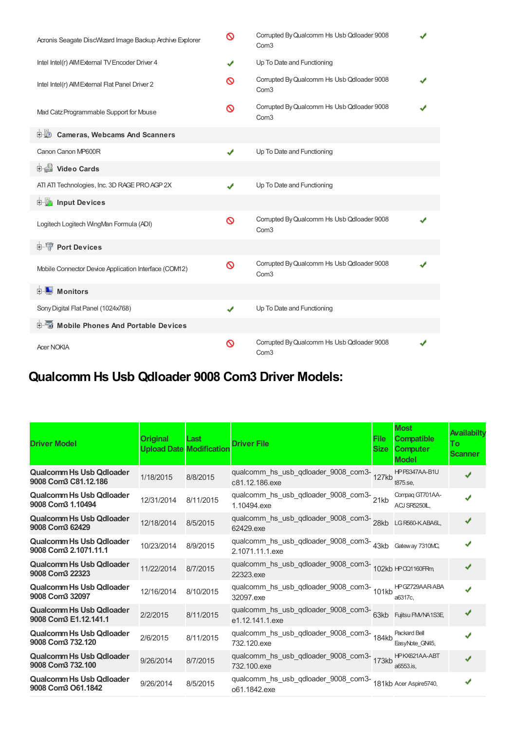| Acronis Seagate DiscWizard Image Backup Archive Explorer | ଷ | Corrupted By Qualcomm Hs Usb Qdloader 9008<br>Com <sub>3</sub> |   |
|----------------------------------------------------------|---|----------------------------------------------------------------|---|
| Intel Intel(r) AIM External TV Encoder Driver 4          | ✔ | Up To Date and Functioning                                     |   |
| Intel Intel(r) AIM External Flat Panel Driver 2          | ଷ | Corrupted By Qualcomm Hs Usb Qdloader 9008<br>Com <sub>3</sub> |   |
| Mad Catz Programmable Support for Mouse                  | Ø | Corrupted By Qualcomm Hs Usb Qdloader 9008<br>Com <sub>3</sub> |   |
| <b>D</b> Cameras, Webcams And Scanners                   |   |                                                                |   |
| Canon Canon MP600R                                       | ✔ | Up To Date and Functioning                                     |   |
| Video Cards                                              |   |                                                                |   |
| ATI ATI Technologies, Inc. 3D RAGE PRO AGP 2X            | ✔ | Up To Date and Functioning                                     |   |
| input Devices                                            |   |                                                                |   |
| Logitech Logitech WingMan Formula (ADI)                  | ଷ | Corrupted By Qualcomm Hs Usb Qdloader 9008<br>Com <sub>3</sub> | J |
| <b>E-TP</b> Port Devices                                 |   |                                                                |   |
| Mobile Connector Device Application Interface (COM12)    | Ø | Corrupted By Qualcomm Hs Usb Qdloader 9008<br>Com <sub>3</sub> |   |
| <b>E</b> Monitors                                        |   |                                                                |   |
| Sony Digital Flat Panel (1024x768)                       | ✔ | Up To Date and Functioning                                     |   |
| <b>E-6</b> Mobile Phones And Portable Devices            |   |                                                                |   |
| <b>Acer NOKIA</b>                                        | ଷ | Corrupted By Qualcomm Hs Usb Qdloader 9008<br>Com <sub>3</sub> |   |

## **Qualcomm Hs Usb Qdloader 9008 Com3 Driver Models:**

| <b>Driver Model</b>                                      | <b>Original</b><br><b>Upload Date Modification</b> | Last      | <b>Driver File</b>                                                                | <b>File</b><br><b>Size</b> | <b>Most</b><br><b>Compatible</b><br><b>Computer</b><br><b>Model</b> | Availabilty<br>To:<br><b>Scanner</b> |
|----------------------------------------------------------|----------------------------------------------------|-----------|-----------------------------------------------------------------------------------|----------------------------|---------------------------------------------------------------------|--------------------------------------|
| Qualcomm Hs Usb Qdloader<br>9008 Com3 C81.12.186         | 1/18/2015                                          | 8/8/2015  | qualcomm_hs_usb_qdloader_9008_com3-<br>127kb<br>c81.12.186.exe                    |                            | HPPS347AA-B1U<br>t875.se.                                           |                                      |
| <b>Qualcomm Hs Usb Qdloader</b><br>9008 Com3 1.10494     | 12/31/2014                                         | 8/11/2015 | qualcomm_hs_usb_qdloader_9008_com3-21kb<br>1.10494.exe                            |                            | Compaq GT701AA-<br>ACJ SR5250IL.                                    | $\cdot$                              |
| <b>Qualcomm Hs Usb Qdloader</b><br>9008 Com3 62429       | 12/18/2014                                         | 8/5/2015  | qualcomm_hs_usb_qdloader_9008_com3-<br>28kb LGR560-KABA6L,<br>62429.exe           |                            |                                                                     | J                                    |
| <b>Qualcomm Hs Usb Qdloader</b><br>9008 Com3 2.1071.11.1 | 10/23/2014                                         | 8/9/2015  | qualcomm_hs_usb_qdloader_9008_com3-43kb Gateway 7310MC,<br>2.1071.11.1.exe        |                            |                                                                     |                                      |
| <b>Qualcomm Hs Usb Qdloader</b><br>9008 Com3 22323       | 11/22/2014                                         | 8/7/2015  | qualcomm_hs_usb_qdloader_9008_com3-102kb HPCQ1160FRm<br>22323.exe                 |                            |                                                                     | J                                    |
| Qualcomm Hs Usb Qdloader<br>9008 Com3 32097              | 12/16/2014                                         | 8/10/2015 | qualcomm_hs_usb_qdloader_9008_com3-<br>101kb<br>32097.exe                         |                            | HPGZ729AAR-ABA<br>a6317c.                                           |                                      |
| <b>Qualcomm Hs Usb Qdloader</b><br>9008 Com3 E1.12.141.1 | 2/2/2015                                           | 8/11/2015 | qualcomm_hs_usb_qdloader_9008_com3-<br>63kb Fujitsu FM/NA1S3E,<br>e1.12.141.1.exe |                            |                                                                     | J                                    |
| Qualcomm Hs Usb Qdloader<br>9008 Com3 732.120            | 2/6/2015                                           | 8/11/2015 | qualcomm_hs_usb_qdloader_9008_com3-<br>184kb<br>732.120.exe                       |                            | Packard Bell<br>EasyNote GN45,                                      |                                      |
| <b>Qualcomm Hs Usb Qdloader</b><br>9008 Com3 732.100     | 9/26/2014                                          | 8/7/2015  | qualcomm_hs_usb_qdloader_9008_com3-<br>173kb<br>732.100.exe                       |                            | HPKX621AA-ABT<br>a6553.is.                                          | م.                                   |
| <b>Qualcomm Hs Usb Qdloader</b><br>9008 Com3 O61.1842    | 9/26/2014                                          | 8/5/2015  | qualcomm_hs_usb_qdloader_9008_com3-181kb Acer Aspire5740,<br>o61.1842.exe         |                            |                                                                     |                                      |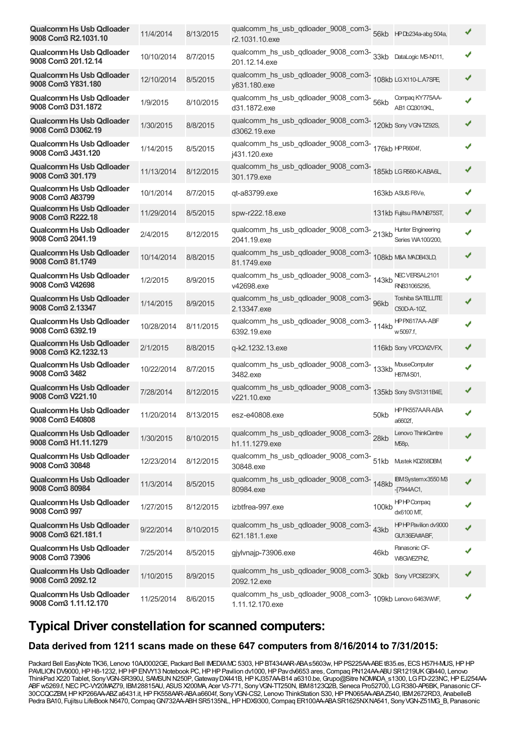| <b>Qualcomm Hs Usb Qdloader</b><br>9008 Com3 R2.1031.10  | 11/4/2014            | 8/13/2015 | r2.1031.10.exe                                                               |       |                                                |   |
|----------------------------------------------------------|----------------------|-----------|------------------------------------------------------------------------------|-------|------------------------------------------------|---|
| <b>Qualcomm Hs Usb Qdloader</b><br>9008 Com3 201.12.14   | 10/10/2014           | 8/7/2015  | qualcomm_hs_usb_qdloader_9008_com3-<br>201.12.14.exe                         |       | 33kb DataLogic MS-N011,                        |   |
| <b>Qualcomm Hs Usb Qdloader</b><br>9008 Com3 Y831.180    | 12/10/2014           | 8/5/2015  | qualcomm_hs_usb_qdloader_9008_com3-<br>108kb LGX110-LA7SPE<br>y831.180.exe   |       |                                                |   |
| <b>Qualcomm Hs Usb Qdloader</b><br>9008 Com3 D31.1872    | 1/9/2015             | 8/10/2015 | qualcomm_hs_usb_qdloader_9008_com3-56kb<br>d31.1872.exe                      |       | Compaq KY775AA-<br>AB1 CQ3010KL,               |   |
| <b>Qualcomm Hs Usb Qdloader</b><br>9008 Com3 D3062.19    | 1/30/2015            | 8/8/2015  | qualcomm_hs_usb_qdloader_9008_com3-<br>d3062.19.exe                          |       | 120kb Sony VGN-TZ92S,                          | ✔ |
| <b>Qualcomm Hs Usb Qdloader</b><br>9008 Com3 J431.120    | 1/14/2015            | 8/5/2015  | qualcomm_hs_usb_qdloader_9008_com3-<br>176kb HPF6604f,<br>j431.120.exe       |       |                                                |   |
| <b>Qualcomm Hs Usb Qdloader</b><br>9008 Com3 301.179     | 11/13/2014           | 8/12/2015 | qualcomm_hs_usb_qdloader_9008_com3-<br>185kb LGR560-KABA6L,<br>301.179.exe   |       |                                                |   |
| <b>Qualcomm Hs Usb Qdloader</b><br>9008 Com3 A83799      | 10/1/2014            | 8/7/2015  | qt-a83799.exe                                                                |       | 163kb ASUS F6Ve,                               |   |
| <b>Qualcomm Hs Usb Qdloader</b><br>9008 Com3 R222.18     | 11/29/2014           | 8/5/2015  | spw-r222.18.exe                                                              |       | 131kb Fujitsu FM/NB75ST,                       | ✔ |
| <b>Qualcomm Hs Usb Qdloader</b><br>9008 Com3 2041.19     | 2/4/2015             | 8/12/2015 | qualcomm_hs_usb_qdloader_9008_com3-213kb<br>2041.19.exe                      |       | <b>Hunter Engineering</b><br>Series WA100/200, |   |
| <b>Qualcomm Hs Usb Qdloader</b><br>9008 Com3 81.1749     | 10/14/2014           | 8/8/2015  | qualcomm_hs_usb_qdloader_9008_com3-<br>108kb M&A MADB43LD,<br>81.1749.exe    |       |                                                |   |
| <b>Qualcomm Hs Usb Qdloader</b><br>9008 Com3 V42698      | 1/2/2015             | 8/9/2015  | qualcomm_hs_usb_qdloader_9008_com3-143kb<br>v42698.exe                       |       | NEC VERSAL2101<br>RNB31065295,                 |   |
| <b>Qualcomm Hs Usb Qdloader</b><br>9008 Com3 2.13347     | 1/14/2015            | 8/9/2015  | qualcomm_hs_usb_qdloader_9008_com3- 96kb<br>2.13347.exe                      |       | Toshiba SATELLITE<br>C50D-A-10Z,               |   |
| <b>Qualcomm Hs Usb Qdloader</b><br>9008 Com3 6392.19     | 10/28/2014           | 8/11/2015 | qualcomm_hs_usb_qdloader_9008_com3-<br>114kb<br>6392.19.exe                  |       | HPPX617AA-ABF<br>w 5097.f,                     |   |
| <b>Qualcomm Hs Usb Qdloader</b><br>9008 Com3 K2.1232.13  | 2/1/2015             | 8/8/2015  | q-k2.1232.13.exe                                                             |       | 116kb Sony VPOCW2VFX,                          |   |
| <b>Qualcomm Hs Usb Qdloader</b><br>9008 Com3 3482        | 10/22/2014           | 8/7/2015  | qualcomm_hs_usb_qdloader_9008_com3-<br>133kb<br>3482.exe                     |       | <b>MouseComputer</b><br>H87M-S01.              |   |
| <b>Qualcomm Hs Usb Qdloader</b><br>9008 Com3 V221.10     | 7/28/2014            | 8/12/2015 | qualcomm_hs_usb_qdloader_9008_com3-<br>135kb Sony SVS1311B4E,<br>v221.10.exe |       |                                                |   |
| <b>Qualcomm Hs Usb Qdloader</b><br>9008 Com3 E40808      | 11/20/2014 8/13/2015 |           | esz-e40808.exe                                                               | 50kb  | HPFK557AAR-ABA<br>a6602f,                      |   |
| <b>Qualcomm Hs Usb Qdloader</b><br>9008 Com3 H1.11.1279  | 1/30/2015            | 8/10/2015 | qualcomm_hs_usb_qdloader_9008_com3-28kb<br>h1.11.1279.exe                    |       | Lenovo ThinkCentre<br>M58p,                    |   |
| <b>Qualcomm Hs Usb Qdloader</b><br>9008 Com3 30848       | 12/23/2014           | 8/12/2015 | qualcomm_hs_usb_qdloader_9008_com3- 51kb<br>30848.exe                        |       | Mustek KDZ68DBM                                |   |
| <b>Qualcomm Hs Usb Qdloader</b><br>9008 Com3 80984       | 11/3/2014            | 8/5/2015  | qualcomm_hs_usb_qdloader_9008_com3-<br>148kb<br>80984.exe                    |       | IBM Systemx3550 MB<br>$-17944AC1$ ,            |   |
| <b>Qualcomm Hs Usb Qdloader</b><br>9008 Com3 997         | 1/27/2015            | 8/12/2015 | izbtfrea-997.exe                                                             | 100kb | <b>HPHPCompaq</b><br>dx6100 MT,                |   |
| <b>Qualcomm Hs Usb Qdloader</b><br>9008 Com3 621.181.1   | 9/22/2014            | 8/10/2015 | qualcomm_hs_usb_qdloader_9008_com3-<br>621.181.1.exe                         | 43kb  | HPHP Pavilion dv9000<br>GU136EA#ABF,           |   |
| <b>Qualcomm Hs Usb Qdloader</b><br>9008 Com3 73906       | 7/25/2014            | 8/5/2015  | gjylvnajp-73906.exe                                                          | 46kb  | Panasonic CF-<br>W8GWEZFN2,                    |   |
| <b>Qualcomm Hs Usb Qdloader</b><br>9008 Com3 2092.12     | 1/10/2015            | 8/9/2015  | qualcomm_hs_usb_qdloader_9008_com3-<br>30kb Sony VPCSE23FX,<br>2092.12.exe   |       |                                                |   |
| <b>Qualcomm Hs Usb Qdloader</b><br>9008 Com3 1.11.12.170 | 11/25/2014           | 8/6/2015  | qualcomm_hs_usb_qdloader_9008_com3-<br>1.11.12.170.exe                       |       | 109kb Lenovo 6463VWF,                          |   |

### **Typical Driver constellation for scanned computers:**

### **Data derived from 1211 scans made on these 647 computers from 8/16/2014 to 7/31/2015:**

Packard Bell EasyNote TK36, Lenovo 10AJ0002GE, Packard Bell IMEDIAMC 5303, HP BT434AAR-ABAs5603w, HP PS225AA-ABEt835.es, ECS H57H-MUS, HP HP PAVILION DV9000, HP H8-1232, HP HP ENVY13 Notebook PC, HP HP Pavilion dv1000, HP Pavdv6653 ares, Compaq PN124AA-ABU SR1219UK GB440, Lenovo ThinkPad X220 Tablet, SonyVGN-SR390J, SAMSUNN250P,GatewayDX441B,HPKJ357AA-B14 a6310.be,Grupo@Sitre NOMADA\_s1300, LGFD-223NC,HPEJ254AA-ABFw5269.f,NECPC-VY20MAZ79, IBM28815AU, ASUSX200MA, Acer V3-771, SonyVGN-TT250N, IBM8123Q2B, Seneca Pro52700, LGR380-AP6BK, PanasonicCF-30CCQCZBM,HPKP266AA-ABZa6431.it,HPFK558AAR-ABAa6604f, SonyVGN-CS2, Lenovo ThinkStation S30,HPPN065AA-ABAZ540, IBM2672RD3, AnabelleB Pedra BA10, Fujitsu LifeBook N6470, Compaq GN732AA-ABH SR5135NL, HP HDX9300, Compaq ER100AA-ABA SR1625NX NA541, Sony VGN-Z51MG\_B, Panasonic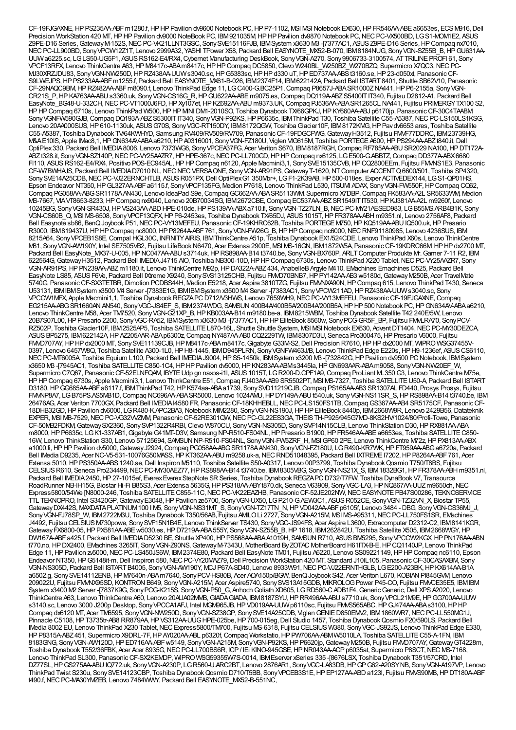CF-19FJGAXNE, HP PS235AA-ABF m1280.f, HP HP Pavilion dv9600 Notebook PC, HP P7-1102, MSI MSI Notebook EX630, HP FR546AA-ABE a6653es, ECS M916, Dell Precision WorkStation 420 MT, HP HP Pavilion dv9000 NoteBook PC, IBM921035M, HP HP Pavilion dv9870 Notebook PC, NEC PC-VX500BD, LG S1-MOM1E2, ASUS Z9PE-D16 Series, Gateway M-152S, NEC PC-VK21LLNT3GSC, Sony SVE15116FJB, IBMSystem x3630 M3 -[7377AC1, ASUS Z9PE-D16 Series, HP Compaq nx7010, NECPC-LL900BD, SonyVPCW12Z1T, Lenovo 2999A32, YASHI TPower X58, Packard Bell EASYNOTE\_MX52-B-070, IBM8184NUG, SonyVGN-SZ55B\_B,HPGU631AA-UUWa6225.sc, LGLS50-UG5F1, ASUSRS162-E4/RX4,Cybernet Manufacturing DeskBook, SonyVGN-A270, Sony9906733-3100574, ATTRILINEPROFI 61, Sony VPCF13RFX, Lenovo ThinkCentre A63,HPM8417c-ABAm8417c,HPHPCompaq DC5850,Clevo W240BL\_W250BZ\_W270BZQ, Supermicro X7QC3,NECPC-MJ30XRZJDU83, SonyVGN-NW250D,HPRZ438AA-UUWs3040.sc,HPG5383sc,HPHPd330 uT,HPED737AA-ABSt3160.se,HP23-d050xt, PanasonicCF-S9LWEJPS,HPPS233AA-ABFm1255.f, Packard Bell EASYNOTE\_MX61-B-026, IBM2374F14, IBM622142A, Packard Bell ISTART8401, Shuttle SB62V10, Panasonic CF-29NAQC9BM,HPRZ482AA-ABFm8090.f, Lenovo ThinkPad Edge 11, LGC400-G.BC25P1,Compaq P8657J-ABASR1000ZNA441,HPP6-2155a, SonyVGN-CR21S\_P,HPKA763AA-ABUs3360.uk, SonyVGN-CS16G\_R,HPGU622AA-ABEm9075.es,Compaq DQ119A-ABZS5400ITIT340, Fujitsu D2812-A1, Packard Bell EasyNote\_BG48-U-332CH, NEC PC-VT1000J6FD, HP Xy107et, HP KZ692AA-ABU m9373.UK, Compaq PJ536AA-ABA SR1265CL NA441, Fujitsu PRIMERGY TX100 S2, HP HP Compaq 6710s, Lenovo ThinkPad W500, HP HP MINI DM1-2010SO, Toshiba Dynabook TX/66GPKJ, HP KY660AA-ABJ p6170jp, Panasonic CF-30C4TAABM, Sony VGNFW590GJB, Compaq DQ193A-ABZ S5300IT IT340, Sony VGN-P92KS, HP P6635c, IBM ThinkPad T30, Toshiba Satellite C55-A5387, NEC PC-LS150LS1KSG, Lenovo 20AA000SUS, HP 610-1130uk, ASUS G70S, Sony VGC-RT150DY, IBM8172QGW, Toshiba Glacier10F, IBM8172KMG, HP Pavdv6653 ares, Toshiba Satellite C55-A5387, Toshiba Dynabook TV/64KWHYD, Samsung RV409/RV509/RV709, PanasonicCF-19FDGCFWG,GatewayH3512, Fujitsu FMVF77DDRC, IBM23739HG, M&AE10IS, Apple IMac8,1, HP GN634AV-ABA a6210, HP A0316001, Sony VGN-FZ180U, Viglen VIG615M, Toshiba PORTEGE A600, HP PS294AA-ABZt840.it, Dell OptiPlex330, Packard Bell IMEDIA8006, Lenovo 7373WG6, SonyVPCEA37FG, Acer Veriton S670, IBM8187RGH,Compaq RF785AA-ABUSR2029 NA100,HPDT172A-ABZt328.it, SonyVGN-SZ140P,NECPC-VY25AAZR7,HPHPE-367c,NECPC-LL700GD,HPHPCompaq nx6125, LGE500-G.ABBTZ,Compaq DD377A-ABX6680 FI110, ASUSRS162-E4/RX4, Positivo POS-EC945AL,HPHPCompaq n6120, Apple Macmini3,1, SonySVE15135CVB,HPCQ2800EEm, Fujitsu FMVNS1E3, Panasonic CF-W7BWHAJS, Packard Bell IMEDIAD7010 NL,NECNECVERSAONE, SonyVGN-AR91PS,GatewayT-1620,NTComputer ACCENTQ6600/501, Toshiba SP4320, SonySVE14A25CDB, NEC PC-VJ22ERNCHTLB, ASUS R051PX, Dell OptiPlexG1 350Mbr+, LG F1-2K39AB, HP 500-018es, Exper ACTIVEDEX144, LG S1-QP01HS, Epson Endeavor NT350, HP GL327AA-ABF a6115.f, Sony VPCF135FG, Medion P7618, Lenovo ThinkPad L530, ITSUM ADAX, Sony VGN-FW550F, HP Compaq CQ62, Compaq PG058AA-ABGSR1178AAN430, Lenovo IdeaPad S9e,CompaqGC662AA-ABASR5113WM, Supermicro X7DBP,Compaq FK583AA-A2L SR5633WM, Medion MS-7667, VIAVT8653-8233,HPCompaq nx9040, Lenovo 20B70034SG, IBM2672CBE,Compaq EC537AA-ABZSR1549ITIT530,HPKJ381AA-A2L m9260f, Lenovo 10245BG, SonyVGN-SR430J,HPVS243AA-ABDHPE-010de,HPPS139AA-ABXa710.fi, SonyVGN-TZ27LN\_B,NECPC-MY21AESED983, LGB55MS.ARB4B1K, Sony VGN-CS60B\_Q, MSI MS-6508, SonyVPCF13QFX,HPP6-2453es, Toshiba Dynabook TX/65DJ, ASUS1015T,HPFR378AA-ABH m9351.nl, Lenovo 2756AF8, Packard Bell Easynote sb86, BenQJoybook P51,NECPC-VY13MEFEU, PanasonicCF-19KHRC62B, Toshiba PORTEGEM750,HPKQ519AA-ABUIQ500.uk,HPPresario R3000, IBM819437U, HPHP Compaq nc8000, HP P8264A-ABF761, Sony VGN-FW26G\_B, HPHP Compaq nc6000, NEC RNF91180985, Lenovo 4236SUS, IBM 8215A64, Sony VPCEB1S8E, Compal HGL30C, INFINITY AIRIS, IBM ThinkCentre A51p, Toshiba Dynabook EX1/524CDE, Lenovo ThinkPad X60s, Lenovo ThinkCentre M81, Sony VGN-AW190Y, Intel SE7505VB2, Fujitsu LifeBook N6470, Acer Extensa 2900E, MSI MS-16GN, IBM1872W5A, Panasonic CF-19KDRC66M, HP HP dx2700 MT, Packard Bell EasyNote\_MX37-U-005, HPNC047AA-ABU s3714uk, HPRS898AA-B14 t3740.be, Sony VGN-BX760P, ARLT Computer Produkte Mr. Gamer 7-11 R2, IBM 622564G, Gateway H3512, Packard Bell IMEDIAJ4715 AIO, Toshiba NB300-10D, HP HP Compaq 6730s, Lenovo ThinkPad X220 Tablet, NEC PC-VY25AAZR7, Sony VGN-AR91PS,HPPN239AA-ABZm1180.it, Lenovo ThinkCentre M92p,HPDA322A-ABZ434, AnabelleBArgyle M410, EMachines Emachines D525, Packard Bell EasyNote LS85, ASUSF6Ve, Packard Bell IXtreme X9240, SonySVS13125CHB, Fujitsu FMVD70BNB7,HPPY142AA-AB3 w5180d,GatewayM250B, Acer TravelMate 5740G, PanasonicCF-SX3TETBR,Dimotion PCDBS44H, Medion E5218, Acer Aspire 3810TZG, Fujitsu FMVNXA90N,HPCompaq 615, Lenovo ThinkPad T430, Seneca U53131, IBMIBMSystem x3500 M4 Server -[7383E1G, IBMIBMSystem x3500 M4 Server -[7383AC1, Sony VPCW211AD, HP RZ438AA-UUW s3040.sc, Sony VPCCW1MFX, Apple Macmini1,1, Toshiba DynabookREGZAPCD712/V3HWS, Lenovo 7659WH9,NECPC-VY13MEFEU, PanasonicCF-19FJGAXNE,Compaq EG215AA-ABGSR1660ANAN540, SonyVGC-JS4EF\_S, IBM2374WDG, SAMSUN400B4A/400B5A/200B4A/200B5A,HPHP500 Notebook PC,HPGN634AV-ABAa6210, Lenovo ThinkCentre M58, Acer TM7520, SonyVGN-G21XP\_B,HPKB003AA-B14 m9180.be-a, IBM8215WBM, Toshiba Dynabook Satellite T42 240E/5W, Lenovo 20B7S07L00,HPPresario 2200, SonyVGC-RA52, IBMSystem x3630 M3 -[7377AC1,HPHPEliteBook 8560w, SonyPCG-GR5F\_BP, Fujitsu FMVLRA70, SonyPCV-RZ502P, Toshiba Glacier10F, IBM2525AP5, Toshiba SATELLITE L870-16L, Shuttle Shuttle System, MSI MSI Notebook EX630, Advent DT1404, NEC PC-MY30DEZCA, ASUSBP5275, IBM622142A,HPAZ205AAR-ABAp6300z,Compaq NY487AA-AB0 CQ2229TW, IBM8307D3U, Seneca Pro300475,HPPresario V6000, Fujitsu FMD707AY, HP HP dx2000 MT, Sony SVE11139CJB, HP M8417c-ABAm8417c, Gigabyte G33M-S2, Dell Precision R7610, HP HP dx2000 MT, WIPRO WSG37455V-0397, Lenovo 6457W8Q, Toshiba Satellite A300-1L0, HP H8-1445, IBMD945PLRN, Sony VGNFW463J/B, Lenovo ThinkPad Edge E220s, HP H9-1236ef, ASUS CS6110, NECPC-MT6005A, Toshiba Equium L100, Packard Bell IMEDIAJ9004,HPS5-1450k, IBMSystem x3200 M3 -[732842G,HPPavilion dv9500 PCNotebook, IBMSystem x3650 M3 -[7945AC1, Toshiba SATELLITEC850-1C4,HPHPPavilion dv5000,HPKN283AA-ABMs3445la,HPGN693AAR-ABAm9058, SonyVGN-NW20EF\_W, Supermicro C7Q67, Panasonic CF-52ELNFQAM, IBYTE Udp gn naxos-i1l, ASUS 1015T, LG R200-D.CPF1A9, Compaq ProLiant ML350 G3, Lenovo ThinkCentre M75e, HP HP Compaq 6730s, Apple Macmini3,1, Lenovo ThinkCentre E51, Compaq FJ403AA-AB9 SR5502PT, MSI MS-7327, Toshiba SATELLITE U50-A, Packard Bell ISTART D3180, HP GG685AA-ABF a6117.f, IBM ThinkPad T42, HP K574aa-ABA a1739, Sony SVD11219CJB, Compaq PS165AA-AB3 SR1307AL FD440, Prosys Prosys, Fujitsu FMMP8A7, LGB75PS.AS5MB1D, Compaq NC696AA-ABA SR5000, Lenovo 1024AMU, HPDY149A-ABU t540.uk, Sony VGN-NS11SR S, HPRS898AA-B14 t3740.be, IBM 26476AG, Acer Veriton 7700GX, Packard Bell IMEDIAI4580 FR, PanasonicCF-18KHHEBLL,NECPC-LS150FS1TB,CompaqGS367AA-AB4 SR5175CF, PanasonicCF-18DHB32GD,HPPavilion dv6000, LGR480-K.APC2BA3,Notebook MIM2280, SonyVGN-NS190J,HPHPEliteBook 8440p, IBM2668W9R, Lenovo 2429B56,Datateknik EXPER, MSI MB-7529, NEC PC-VG32WZMM, Panasonic CF-52RE301QW, NEC PC-GL22ES3GA, THEIS TH-P925/945G7MD-8KS2HV/1024/80/Profi-Towe, Panasonic CF-50MB2FDKM,GatewaySX2360, SonySVP1322R4RBI,Clevo W870CU, SonyVGN-NS305D, SonySVF14N15CLB, Lenovo ThinkStation D30,HPRX881AA-ABA m8000, HP P6635c, LG K1-337AB1, Gigabyte G41MT-D3V, Samsung NP-R510-FS04NL, HP Presario B1900, HP FR546AA-ABE a6653es, Toshiba SATELLITE C850-16W, Lenovo ThinkStation S30, Lenovo 57125694, SAMSUNNP-R510-FS04NL, SonyVGN-FW5ZRF\_H, MSIGP60 2PE, Lenovo ThinkCentre M72z,HPPX813AA-ABX a1000.fi, HP HP Pavilion dv5000, Gateway J2924, Compaq PG058AA-ABG SR1178A AN430, Sony VGN-FZ180U, LG R490-KR7WK, HP FT959AA-ABG a6720a, Packard Bell IMedia D9235, Acer NC-V5-531-10076G50MASS,HPKT362AA-ABU m9258.uk-a,NECRND51048395, Packard Bell IXTREMEI7202,HPP8264A-ABF761, Acer Extensa 5010,HPPS350AA-ABS1240.se,Dell Inspiron M5110, Toshiba Satellite S50-A0317, Lenovo 00P3799, Toshiba DynabookQosmio T750/T8BS, Fujitsu CELSIUSR610, Seneca Pro234499,NECPC-MY30AEZ77,HPRS898AA-B14 t3740.be, IBM8305VBG, SonyVGN-NS21X\_S, IBM1832BG1,HPFR378AA-ABH m9351.nl, Packard Bell IMEDIA2450, HP 27-1015ef, Everex Everex StepNote SR Series, Toshiba Dynabook REGZAPC D732/T7FW, Toshiba DynaBook V7, Transource RoadRunner NB-IH15G, Biostar Hi-Fi B85S3, Acer Extensa 5635G, HP PS318AA-ABYt870.dk, Seneca V63909, Sony VGC-LA3, HP NQ867AA-UUZ m9650ch, NEC Express5800/54We [N8000-246, Toshiba SATELLITEC855-11C,NECPC-VK22EAZHB, PanasonicCF-52JE202NW,NECEASYNOTEPB47S00286, TEKNOSERVICE TTL TEKNOPRO, Intel S3420GP,GatewayE3048,HPPavilion ze5700, SonyVGN-UX50, LGP210-G.AEW3C1, ASUSR052CE, SonyVGN-TZ32VN\_X, Biostar TP55, Gateway DX442S, MAXDATA PLATINUM 100 I M5, Sony VGN-NS31MT\_S, Sony VGN-TZ17TN\_N, HPVD042AA-ABF p6105f, Lenovo 3484 - DBG, Sony VGN-CS36MJ\_J, SonyVGN-FJ78SP\_W, IBM2722M3U, Toshiba Dynabook T350/56AB, Fujitsu AMILOLi 2727, SonyVGN-A215M, MSI MS-A95311,NECPC-LL750FS1SR, EMachines J4492, Fujitsu CELSIUSM730powe, SonySVF15N1B4E, Lenovo ThinkServer TS430, SonyVGC-JS94FS, Acer Aspire L3600, Extracomputer D2312-C2, IBM8141KGR, GatewayFX6800-05,HPPX581AA-ABEw5030.es,HPD7219A-ABA555Y, SonyVGN-SZ55B\_B,HP1618, IBM262842U, Toshiba Satellite X505, IBM2668WGY,HP DW167A-ABFa425.f, Packard Bell IMEDIAD5230 BE, Shuttle XP400, HP PS568AA-ABAA1019H, SAWSUN R710, ASUS BM5295, Sony VPCCW2KGX, HP PN176AA-ABN t770.no,HPDX2400, EMachines 3265IT, SonyVGN-Z90NS,GatewayM-7343U, MotherBoard ByZOTAC MotherBoard H61ITX-B-E,HPCQ1140JP, Lenovo ThinkPad 1.1980, N.B. Lewi, Edge 1980, NEC PC-LS450JS6W, IBM2374E80, Packard Bell EasyNote TM01, Fujitsu A6220, Lenovo SS09221149, HP HP Compaq nc6110, Epson Endeavor NT350, HP G5148it-m, Dell Inspiron 580, NEC PC-VY20MAZ79, Dell Precision WorkStation 420 MT, Standard J10IL105, Panasonic CF-30CASAXBM, Sony VGN-NS305D, Packard Bell ISTART B4005, Sony VGN-AW190Y, MCJ P67A-SD40, Lenovo 8933W91, NEC PC-VJ22ERNTHGLB, LG E200-A23BK, HP KX614AA-B1A a6502.g, SonySVE14112ENB,HPM7640n-ABAm7640, SonyPCV-HS80B, Acer AOA150p/BGW, BenQJoybook S42, Acer Veriton L670, KOBIANPI845GVM, Lenovo 209022U, Fujitsu FMVNX95SD, KONTRONB649, SonyVGN-A215M, Acer Aspire5740, SonySVS13A15GDB, MIKROLOGPower P45-CO, Fujitsu FMVCE35E5, IBMIBM System x3400 M2 Server -[7837K9G, Sony PCG-K215S, Sony VGN-P50\_G, Anhoch Goliath XD605, LGRD560-C.ADB1F4, Generic Generic, Dell XPS A2020, Lenovo ThinkCentre A63, Lenovo ThinkCentre A60, Lenovo 20AUA02MMB,GIADAGIADA, IBM8187SYU,HPRR496AA-ABUs7710.uk, SonyVPCL21M9E,HPGG700AA-UUW s3140.sc, Lenovo 3000 J200p Desktop, Sony VPCCA1AFJ, Intel MGW965JB, HP VD019AA-UUW p6110sc, Fujitsu FMVS565ABC, HPGJ474AA-ABAs3100, HPHP Compaq dx6120 MT, Acer TM6595, SonyVGN-NW250D, SonyVGN-SZ38GP, SonySVE14A25CDB, ViglenGENIED850EMV2, IBM1860WR7,NECPC-LL550MG1J, Pinnacle C5108, HP T3735tr-AB8 RR879AA, HP VS312AA-UUG HPE-025be, HP 700-015eg, Dell Studio 1457, Toshiba Dynabook Qosmio F20/590LS, Packard Bell IMedia 8002 EU, Lenovo ThinkPad X230 Tablet, NEC Express5800/TM700, Fujitsu MS-6318, Fujitsu CELSIUS W380, Sony VGC-JS92JS, Lenovo ThinkPad Edge E330, HPP8315A-ABZ451, Supermicro X9DRL-7F,HPAY020AA-ABL p6320f,Compaq Workstatio,HPPW706AA-ABMW5010LA, Toshiba SATELLITEC55-A-1FN, IBM 8183GNG, SonyVGN-AW120D,HPED716AA-ABFw5149, SonyVGN-A215M, SonyVGN-P92KS,HPP6620jp,GatewayM250B, Fujitsu FMVD707AY,GatewayGT4228m, Toshiba Dynabook T552/36FBK, Acer Acer 8935G,NECPC-LL700BS6R, ICP/ IEi KINO-945GSE,HPNR043AA-ACPp6035at, Supermicro P8SCT,NEC MS-7168, Lenovo ThinkPad SL300, Panasonic CF-SX2KEMDP, WIPRO WSG59355W7S-0014, IBMEserver xSeries 335 -[8676LSX, Toshiba Dynabook T351/57CRD, Intel DZ77SL,HPGS275AA-ABUIQ772.uk, SonyVGN-A230P, LGR560-U.ARC2BT, Lenovo 2876AR1, SonyVGC-LA83DB,HPGPG62-A20SYNB, SonyVGN-A197VP, Lenovo ThinkPad Twist S230u, SonySVE14123CBP, Toshiba DynabookQosmio D710/T5BB, SonyVPCEB3S1E,HPEP127AA-ABDa123l, Fujitsu FMVS90MB,HPDT180A-ABF t490.f, NEC PC-MA30YMZEB, Lenovo 7484WWY, Packard Bell EASYNOTE\_MX52-B-551NC,